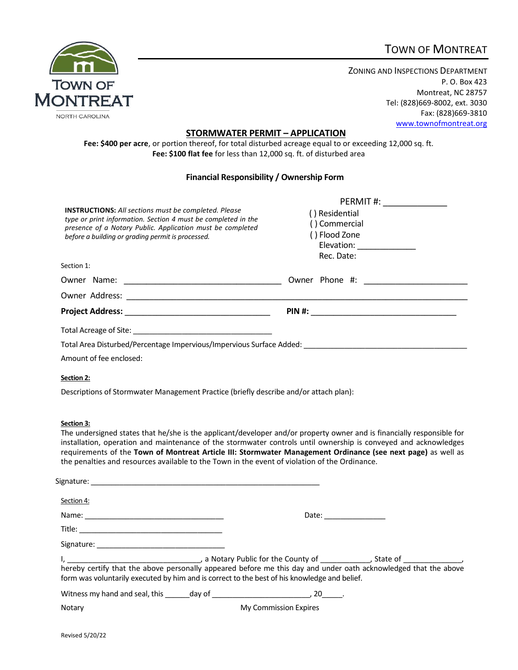# TOWN OF MONTREAT



ZONING AND INSPECTIONS DEPARTMENT P. O. Box 423 Montreat, NC 28757 Tel: (828)669-8002, ext. 3030 Fax: (828)669-3810 [www.townofmontreat.org](http://www.townofmontreat.org/)

#### **STORMWATER PERMIT – APPLICATION**

**Fee: \$400 per acre**, or portion thereof, for total disturbed acreage equal to or exceeding 12,000 sq. ft. **Fee: \$100 flat fee** for less than 12,000 sq. ft. of disturbed area

#### **Financial Responsibility / Ownership Form**

|                                                                                                                                                                                                                                                 | PERMIT#: ____________                                                                        |  |  |
|-------------------------------------------------------------------------------------------------------------------------------------------------------------------------------------------------------------------------------------------------|----------------------------------------------------------------------------------------------|--|--|
| <b>INSTRUCTIONS:</b> All sections must be completed. Please<br>type or print information. Section 4 must be completed in the<br>presence of a Notary Public. Application must be completed<br>before a building or grading permit is processed. | () Residential<br>() Commercial<br>() Flood Zone<br>Elevation: _______________<br>Rec. Date: |  |  |
| Section 1:                                                                                                                                                                                                                                      |                                                                                              |  |  |
|                                                                                                                                                                                                                                                 |                                                                                              |  |  |
|                                                                                                                                                                                                                                                 |                                                                                              |  |  |
|                                                                                                                                                                                                                                                 | PIN #: ___________________________                                                           |  |  |
|                                                                                                                                                                                                                                                 |                                                                                              |  |  |
| Total Area Disturbed/Percentage Impervious/Impervious Surface Added:                                                                                                                                                                            |                                                                                              |  |  |
|                                                                                                                                                                                                                                                 |                                                                                              |  |  |

Amount of fee enclosed:

#### **Section 2:**

Descriptions of Stormwater Management Practice (briefly describe and/or attach plan):

#### **Section 3:**

The undersigned states that he/she is the applicant/developer and/or property owner and is financially responsible for installation, operation and maintenance of the stormwater controls until ownership is conveyed and acknowledges requirements of the **Town of Montreat Article III: Stormwater Management Ordinance (see next page)** as well as the penalties and resources available to the Town in the event of violation of the Ordinance.

| Section 4:                                                                                                                                                                                                                    |  |                                                                                                                                                                                                                                |  |
|-------------------------------------------------------------------------------------------------------------------------------------------------------------------------------------------------------------------------------|--|--------------------------------------------------------------------------------------------------------------------------------------------------------------------------------------------------------------------------------|--|
|                                                                                                                                                                                                                               |  | Date: the contract of the contract of the contract of the contract of the contract of the contract of the contract of the contract of the contract of the contract of the contract of the contract of the contract of the cont |  |
| Title: when the control of the control of the control of the control of the control of the control of the control of the control of the control of the control of the control of the control of the control of the control of |  |                                                                                                                                                                                                                                |  |
| Signature:                                                                                                                                                                                                                    |  |                                                                                                                                                                                                                                |  |
| hereby certify that the above personally appeared before me this day and under oath acknowledged that the above<br>form was voluntarily executed by him and is correct to the best of his knowledge and belief.               |  |                                                                                                                                                                                                                                |  |
| Witness my hand and seal, this day of the control of the control of the control of the control of the control o                                                                                                               |  |                                                                                                                                                                                                                                |  |
| Notary                                                                                                                                                                                                                        |  | My Commission Expires                                                                                                                                                                                                          |  |
|                                                                                                                                                                                                                               |  |                                                                                                                                                                                                                                |  |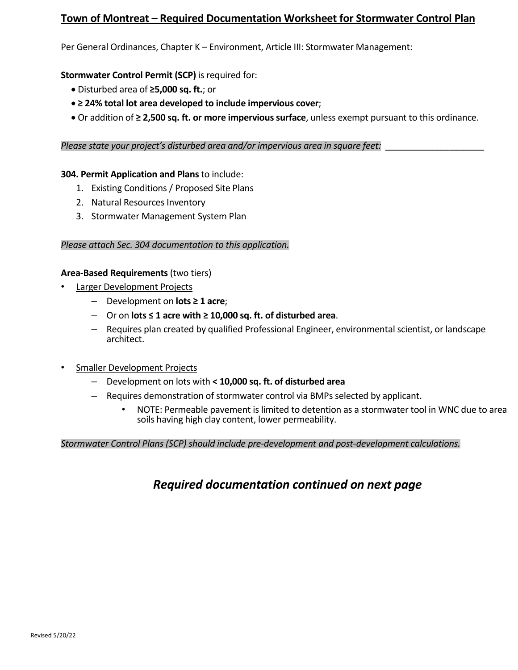# **Town of Montreat – Required Documentation Worksheet for Stormwater Control Plan**

Per General Ordinances, Chapter K – Environment, Article III: Stormwater Management:

**Stormwater Control Permit (SCP)** is required for:

- Disturbed area of **≥5,000 sq. ft.**; or
- **≥ 24% total lot area developed to include impervious cover**;
- Or addition of **≥ 2,500 sq. ft. or more impervious surface**, unless exempt pursuant to this ordinance.

*Please state your project's disturbed area and/or impervious area in square feet:* \_\_\_\_\_\_\_\_\_\_\_\_\_\_\_\_\_\_\_\_

#### **304. Permit Application and Plans** to include:

- 1. Existing Conditions / Proposed Site Plans
- 2. Natural Resources Inventory
- 3. Stormwater Management System Plan

#### *Please attach Sec. 304 documentation to this application.*

#### **Area-Based Requirements** (two tiers)

- Larger Development Projects
	- Development on **lots ≥ 1 acre**;
	- Or on **lots ≤ 1 acre with ≥ 10,000 sq. ft. of disturbed area**.
	- Requires plan created by qualified Professional Engineer, environmental scientist, or landscape architect.
- Smaller Development Projects
	- Development on lots with **< 10,000 sq. ft. of disturbed area**
	- Requires demonstration of stormwater control via BMPs selected by applicant.
		- NOTE: Permeable pavement is limited to detention as a stormwater tool in WNC due to area soils having high clay content, lower permeability.

#### *Stormwater Control Plans (SCP) should include pre-development and post-development calculations.*

# *Required documentation continued on next page*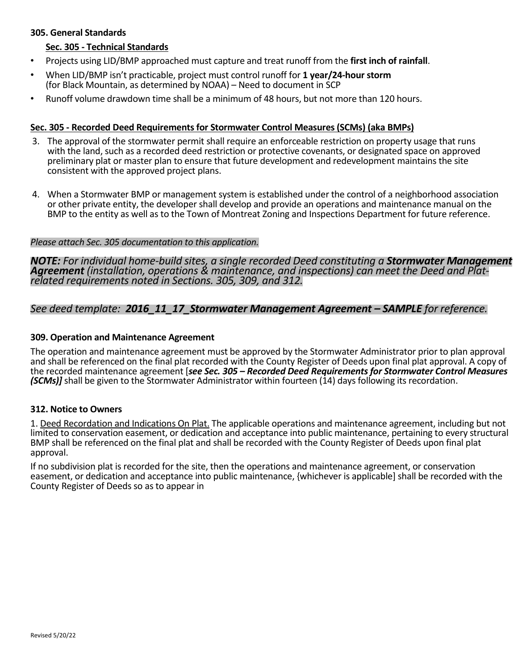### **305. General Standards**

### **Sec. 305 - Technical Standards**

- Projects using LID/BMP approached must capture and treat runoff from the **first inch of rainfall**.
- When LID/BMP isn't practicable, project must control runoff for **1 year/24-hour storm** (for Black Mountain, as determined by NOAA) – Need to document in SCP
- Runoff volume drawdown time shall be a minimum of 48 hours, but not more than 120 hours.

### **Sec. 305 - Recorded Deed Requirements for Stormwater Control Measures (SCMs) (aka BMPs)**

- 3. The approval of the stormwater permit shall require an enforceable restriction on property usage that runs with the land, such as a recorded deed restriction or protective covenants, or designated space on approved preliminary plat or master plan to ensure that future development and redevelopment maintains the site consistent with the approved project plans.
- 4. When a Stormwater BMP or management system is established under the control of a neighborhood association or other private entity, the developer shall develop and provide an operations and maintenance manual on the BMP to the entity as well as to the Town of Montreat Zoning and Inspections Department for future reference.

#### *Please attach Sec. 305 documentation to this application.*

*NOTE: For individual home-build sites, a single recorded Deed constituting a Stormwater Management Agreement (installation, operations & maintenance, and inspections) can meet the Deed and Plat- related requirements noted in Sections. 305, 309, and 312.*

## *See deed template: 2016\_11\_17\_Stormwater Management Agreement – SAMPLE for reference.*

#### **309. Operation and Maintenance Agreement**

The operation and maintenance agreement must be approved by the Stormwater Administrator prior to plan approval and shall be referenced on the final plat recorded with the County Register of Deeds upon final plat approval. A copy of the recorded maintenance agreement [*see Sec. 305 – Recorded Deed Requirements for Stormwater Control Measures (SCMs)]* shall be given to the Stormwater Administrator within fourteen (14) days following its recordation.

#### **312. Notice to Owners**

1. Deed Recordation and Indications On Plat. The applicable operations and maintenance agreement, including but not limited to conservation easement, or dedication and acceptance into public maintenance, pertaining to every structural BMP shall be referenced on the final plat and shall be recorded with the County Register of Deeds upon final plat approval.

If no subdivision plat is recorded for the site, then the operations and maintenance agreement, or conservation easement, or dedication and acceptance into public maintenance, {whichever is applicable] shall be recorded with the County Register of Deeds so as to appear in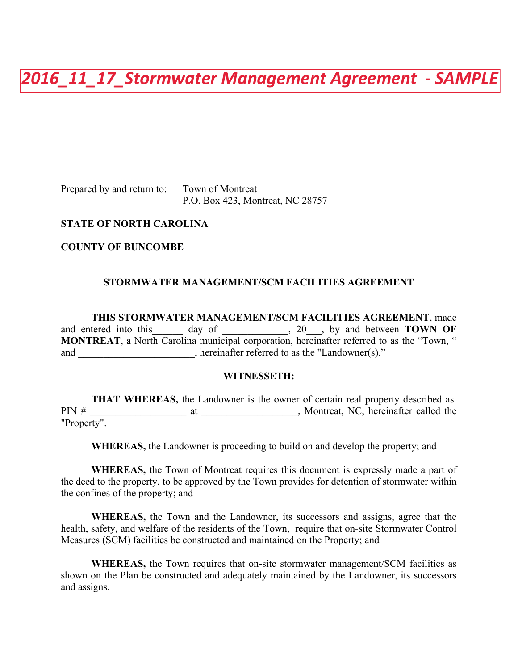*2016\_11\_17\_Stormwater Management Agreement - SAMPLE* 

Prepared by and return to: Town of Montreat

P.O. Box 423, Montreat, NC 28757

### **STATE OF NORTH CAROLINA**

**COUNTY OF BUNCOMBE**

### **STORMWATER MANAGEMENT/SCM FACILITIES AGREEMENT**

**THIS STORMWATER MANAGEMENT/SCM FACILITIES AGREEMENT**, made and entered into this day of \_\_\_\_\_\_\_\_\_, 20 \_\_, by and between **TOWN OF MONTREAT**, a North Carolina municipal corporation, hereinafter referred to as the "Town, " and \_\_\_\_\_\_\_\_\_\_\_\_\_\_\_\_\_\_\_\_\_, hereinafter referred to as the "Landowner(s)."

#### **WITNESSETH:**

**THAT WHEREAS,** the Landowner is the owner of certain real property described as PIN # at at a metal at All and Montreat, NC, hereinafter called the "Property".

**WHEREAS,** the Landowner is proceeding to build on and develop the property; and

**WHEREAS,** the Town of Montreat requires this document is expressly made a part of the deed to the property, to be approved by the Town provides for detention of stormwater within the confines of the property; and

**WHEREAS,** the Town and the Landowner, its successors and assigns, agree that the health, safety, and welfare of the residents of the Town, require that on-site Stormwater Control Measures (SCM) facilities be constructed and maintained on the Property; and

**WHEREAS,** the Town requires that on-site stormwater management/SCM facilities as shown on the Plan be constructed and adequately maintained by the Landowner, its successors and assigns.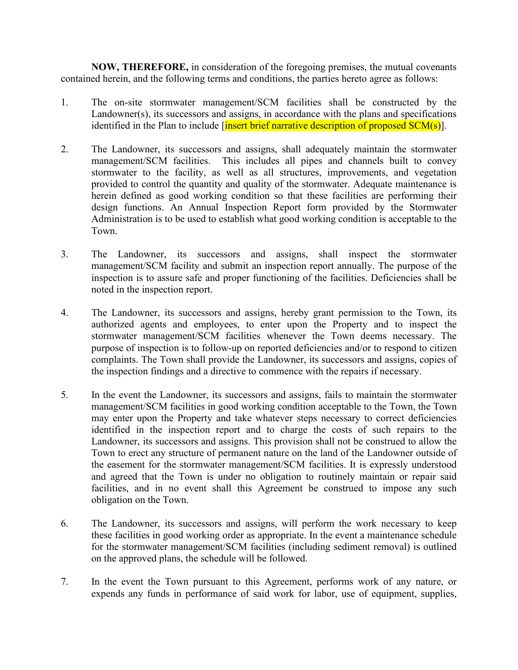**NOW, THEREFORE,** in consideration of the foregoing premises, the mutual covenants contained herein, and the following terms and conditions, the parties hereto agree as follows:

- 1. The on-site stormwater management/SCM facilities shall be constructed by the Landowner(s), its successors and assigns, in accordance with the plans and specifications identified in the Plan to include  $\left[\frac{\text{insert} \times \text{insert}}{\text{insert} \times \text{insert}}\right]$  description of proposed  $\text{SCM}(s)$ ].
- 2. The Landowner, its successors and assigns, shall adequately maintain the stormwater management/SCM facilities. This includes all pipes and channels built to convey stormwater to the facility, as well as all structures, improvements, and vegetation provided to control the quantity and quality of the stormwater. Adequate maintenance is herein defined as good working condition so that these facilities are performing their design functions. An Annual Inspection Report form provided by the Stormwater Administration is to be used to establish what good working condition is acceptable to the Town.
- 3. The Landowner, its successors and assigns, shall inspect the stormwater management/SCM facility and submit an inspection report annually. The purpose of the inspection is to assure safe and proper functioning of the facilities. Deficiencies shall be noted in the inspection report.
- 4. The Landowner, its successors and assigns, hereby grant permission to the Town, its authorized agents and employees, to enter upon the Property and to inspect the stormwater management/SCM facilities whenever the Town deems necessary. The purpose of inspection is to follow-up on reported deficiencies and/or to respond to citizen complaints. The Town shall provide the Landowner, its successors and assigns, copies of the inspection findings and a directive to commence with the repairs if necessary.
- 5. In the event the Landowner, its successors and assigns, fails to maintain the stormwater management/SCM facilities in good working condition acceptable to the Town, the Town may enter upon the Property and take whatever steps necessary to correct deficiencies identified in the inspection report and to charge the costs of such repairs to the Landowner, its successors and assigns. This provision shall not be construed to allow the Town to erect any structure of permanent nature on the land of the Landowner outside of the easement for the stormwater management/SCM facilities. It is expressly understood and agreed that the Town is under no obligation to routinely maintain or repair said facilities, and in no event shall this Agreement be construed to impose any such obligation on the Town.
- 6. The Landowner, its successors and assigns, will perform the work necessary to keep these facilities in good working order as appropriate. In the event a maintenance schedule for the stormwater management/SCM facilities (including sediment removal) is outlined on the approved plans, the schedule will be followed.
- 7. In the event the Town pursuant to this Agreement, performs work of any nature, or expends any funds in performance of said work for labor, use of equipment, supplies,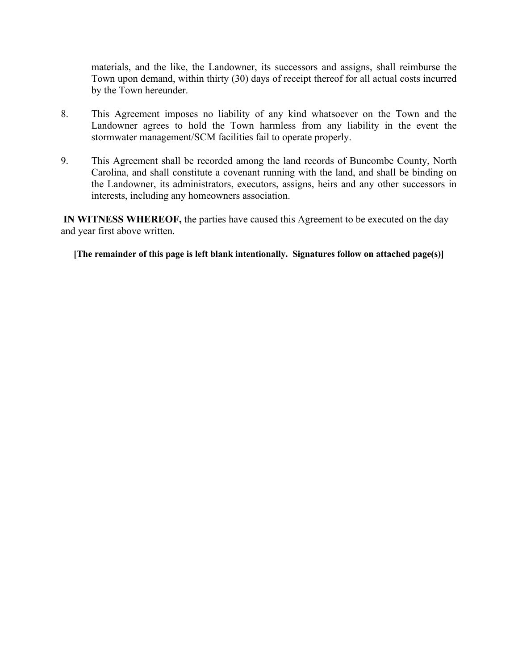materials, and the like, the Landowner, its successors and assigns, shall reimburse the Town upon demand, within thirty (30) days of receipt thereof for all actual costs incurred by the Town hereunder.

- 8. This Agreement imposes no liability of any kind whatsoever on the Town and the Landowner agrees to hold the Town harmless from any liability in the event the stormwater management/SCM facilities fail to operate properly.
- 9. This Agreement shall be recorded among the land records of Buncombe County, North Carolina, and shall constitute a covenant running with the land, and shall be binding on the Landowner, its administrators, executors, assigns, heirs and any other successors in interests, including any homeowners association.

**IN WITNESS WHEREOF,** the parties have caused this Agreement to be executed on the day and year first above written.

**[The remainder of this page is left blank intentionally. Signatures follow on attached page(s)]**